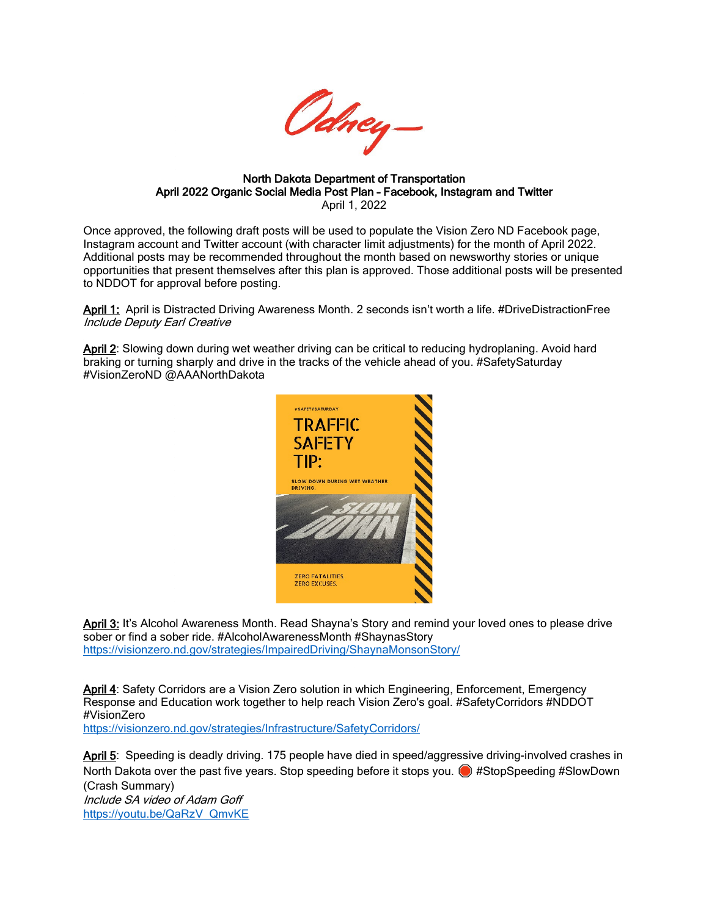

North Dakota Department of Transportation April 2022 Organic Social Media Post Plan – Facebook, Instagram and Twitter April 1, 2022

Once approved, the following draft posts will be used to populate the Vision Zero ND Facebook page, Instagram account and Twitter account (with character limit adjustments) for the month of April 2022. Additional posts may be recommended throughout the month based on newsworthy stories or unique opportunities that present themselves after this plan is approved. Those additional posts will be presented to NDDOT for approval before posting.

April 1: April is Distracted Driving Awareness Month. 2 seconds isn't worth a life. #DriveDistractionFree Include Deputy Earl Creative

April 2: Slowing down during wet weather driving can be critical to reducing hydroplaning. Avoid hard braking or turning sharply and drive in the tracks of the vehicle ahead of you. #SafetySaturday #VisionZeroND @AAANorthDakota



April 3: It's Alcohol Awareness Month. Read Shayna's Story and remind your loved ones to please drive sober or find a sober ride. #AlcoholAwarenessMonth #ShaynasStory <https://visionzero.nd.gov/strategies/ImpairedDriving/ShaynaMonsonStory/>

April 4: Safety Corridors are a Vision Zero solution in which Engineering, Enforcement, Emergency Response and Education work together to help reach Vision Zero's goal. #SafetyCorridors #NDDOT #VisionZero <https://visionzero.nd.gov/strategies/Infrastructure/SafetyCorridors/>

April 5: Speeding is deadly driving. 175 people have died in speed/aggressive driving-involved crashes in North Dakota over the past five years. Stop speeding before it stops you. (a) #StopSpeeding #SlowDown (Crash Summary) Include SA video of Adam Goff [https://youtu.be/QaRzV\\_QmvKE](https://youtu.be/QaRzV_QmvKE)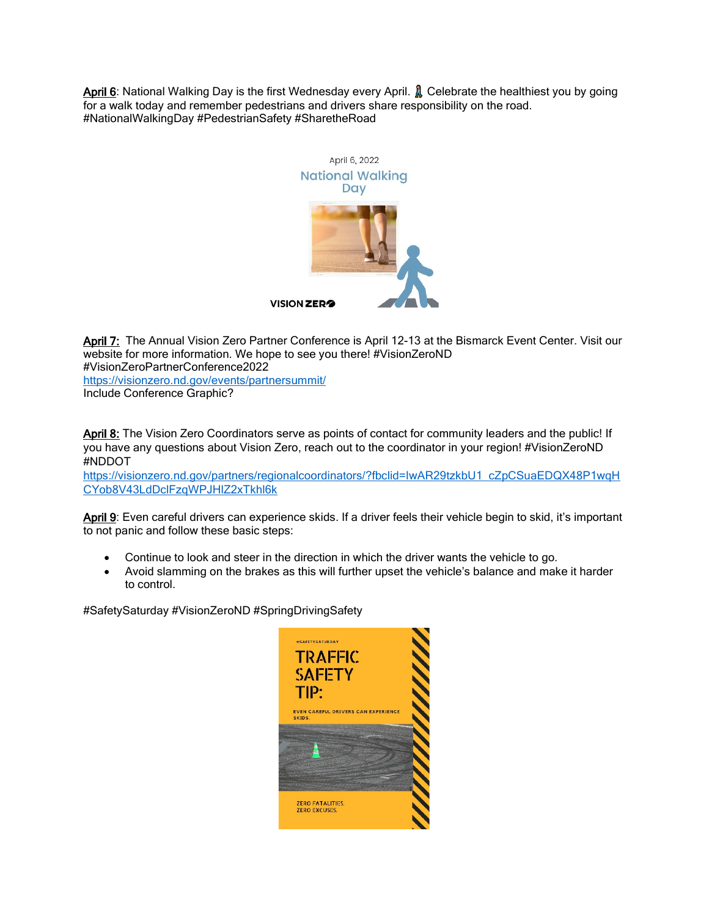April 6: National Walking Day is the first Wednesday every April. **A** Celebrate the healthiest you by going for a walk today and remember pedestrians and drivers share responsibility on the road. #NationalWalkingDay #PedestrianSafety #SharetheRoad



April 7: The Annual Vision Zero Partner Conference is April 12-13 at the Bismarck Event Center. Visit our website for more information. We hope to see you there! #VisionZeroND #VisionZeroPartnerConference2022 <https://visionzero.nd.gov/events/partnersummit/> Include Conference Graphic?

April 8: The Vision Zero Coordinators serve as points of contact for community leaders and the public! If you have any questions about Vision Zero, reach out to the coordinator in your region! #VisionZeroND #NDDOT

[https://visionzero.nd.gov/partners/regionalcoordinators/?fbclid=IwAR29tzkbU1\\_cZpCSuaEDQX48P1wqH](https://visionzero.nd.gov/partners/regionalcoordinators/?fbclid=IwAR29tzkbU1_cZpCSuaEDQX48P1wqHCYob8V43LdDclFzqWPJHlZ2xTkhl6k) [CYob8V43LdDclFzqWPJHlZ2xTkhl6k](https://visionzero.nd.gov/partners/regionalcoordinators/?fbclid=IwAR29tzkbU1_cZpCSuaEDQX48P1wqHCYob8V43LdDclFzqWPJHlZ2xTkhl6k) 

April 9: Even careful drivers can experience skids. If a driver feels their vehicle begin to skid, it's important to not panic and follow these basic steps:

- Continue to look and steer in the direction in which the driver wants the vehicle to go.
- Avoid slamming on the brakes as this will further upset the vehicle's balance and make it harder to control.

#SafetySaturday #VisionZeroND #SpringDrivingSafety

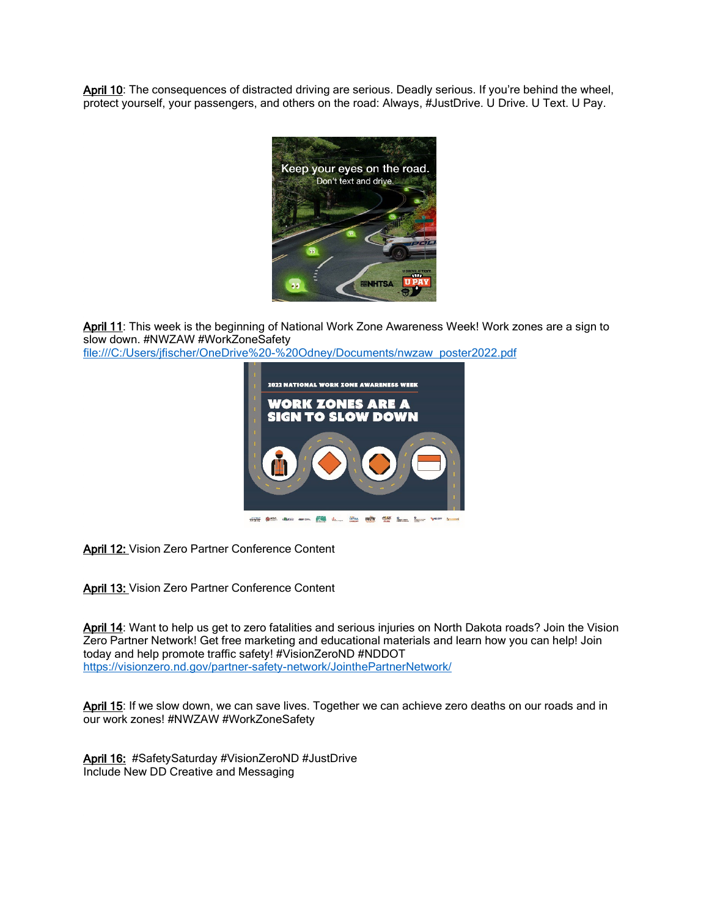April 10: The consequences of distracted driving are serious. Deadly serious. If you're behind the wheel, protect yourself, your passengers, and others on the road: Always, #JustDrive. U Drive. U Text. U Pay.



April 11: This week is the beginning of National Work Zone Awareness Week! Work zones are a sign to slow down. #NWZAW #WorkZoneSafety

file:///C:/Users/jfischer/OneDrive%20-%20Odney/Documents/nwzaw\_poster2022.pdf



April 12: Vision Zero Partner Conference Content

April 13: Vision Zero Partner Conference Content

April 14: Want to help us get to zero fatalities and serious injuries on North Dakota roads? Join the Vision Zero Partner Network! Get free marketing and educational materials and learn how you can help! Join today and help promote traffic safety! #VisionZeroND #NDDOT <https://visionzero.nd.gov/partner-safety-network/JointhePartnerNetwork/>

April 15: If we slow down, we can save lives. Together we can achieve zero deaths on our roads and in our work zones! #NWZAW #WorkZoneSafety

April 16: #SafetySaturday #VisionZeroND #JustDrive Include New DD Creative and Messaging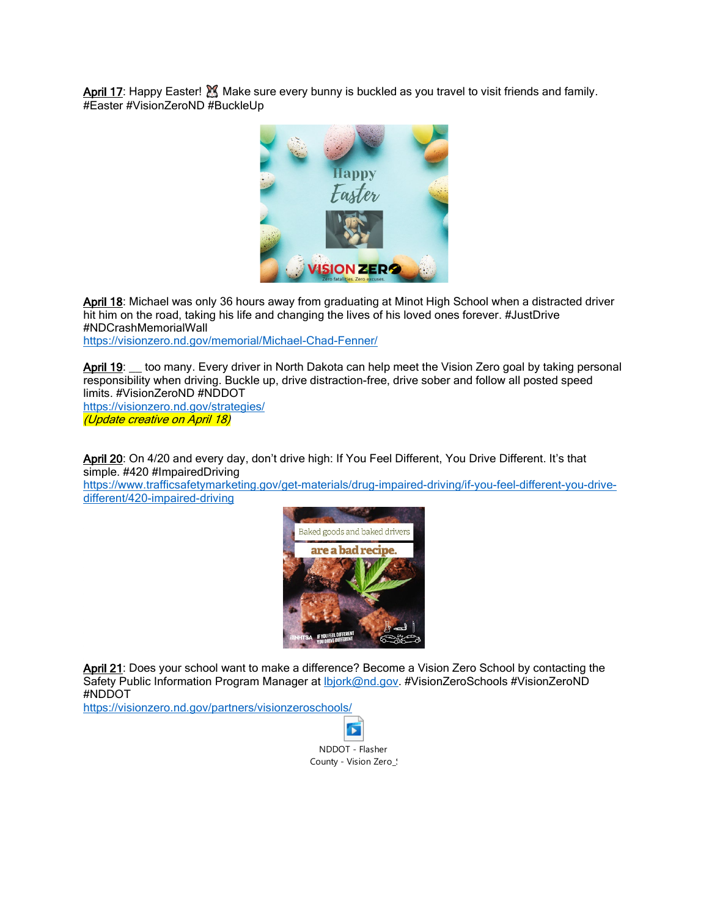April 17: Happy Easter! M Make sure every bunny is buckled as you travel to visit friends and family. #Easter #VisionZeroND #BuckleUp



April 18: Michael was only 36 hours away from graduating at Minot High School when a distracted driver hit him on the road, taking his life and changing the lives of his loved ones forever. #JustDrive #NDCrashMemorialWall <https://visionzero.nd.gov/memorial/Michael-Chad-Fenner/>

April 19: \_\_ too many. Every driver in North Dakota can help meet the Vision Zero goal by taking personal responsibility when driving. Buckle up, drive distraction-free, drive sober and follow all posted speed limits. #VisionZeroND #NDDOT

<https://visionzero.nd.gov/strategies/> (Update creative on April 18)

April 20: On 4/20 and every day, don't drive high: If You Feel Different, You Drive Different. It's that simple. #420 #ImpairedDriving

[https://www.trafficsafetymarketing.gov/get-materials/drug-impaired-driving/if-you-feel-different-you-drive](https://www.trafficsafetymarketing.gov/get-materials/drug-impaired-driving/if-you-feel-different-you-drive-different/420-impaired-driving)[different/420-impaired-driving](https://www.trafficsafetymarketing.gov/get-materials/drug-impaired-driving/if-you-feel-different-you-drive-different/420-impaired-driving) 



April 21: Does your school want to make a difference? Become a Vision Zero School by contacting the Safety Public Information Program Manager at *Ibjork@nd.gov.* #VisionZeroSchools #VisionZeroND #NDDOT

<https://visionzero.nd.gov/partners/visionzeroschools/>

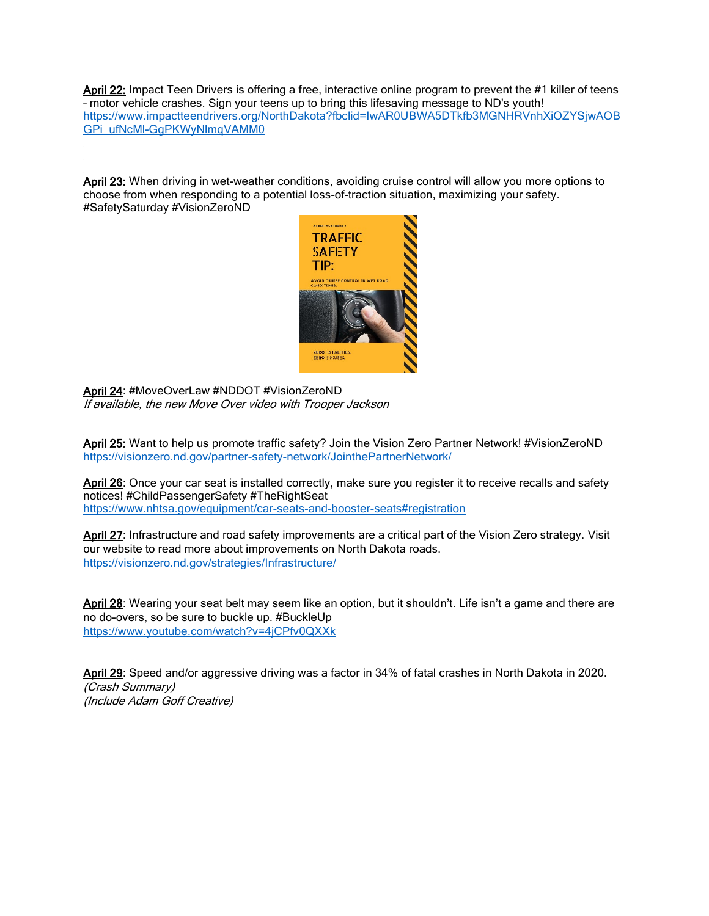April 22: Impact Teen Drivers is offering a free, interactive online program to prevent the #1 killer of teens – motor vehicle crashes. Sign your teens up to bring this lifesaving message to ND's youth! [https://www.impactteendrivers.org/NorthDakota?fbclid=IwAR0UBWA5DTkfb3MGNHRVnhXiOZYSjwAOB](https://www.impactteendrivers.org/NorthDakota?fbclid=IwAR0UBWA5DTkfb3MGNHRVnhXiOZYSjwAOBGPi_ufNcMl-GgPKWyNlmqVAMM0) [GPi\\_ufNcMl-GgPKWyNlmqVAMM0](https://www.impactteendrivers.org/NorthDakota?fbclid=IwAR0UBWA5DTkfb3MGNHRVnhXiOZYSjwAOBGPi_ufNcMl-GgPKWyNlmqVAMM0)

April 23: When driving in wet-weather conditions, avoiding cruise control will allow you more options to choose from when responding to a potential loss-of-traction situation, maximizing your safety. #SafetySaturday #VisionZeroND



April 24: #MoveOverLaw #NDDOT #VisionZeroND If available, the new Move Over video with Trooper Jackson

April 25: Want to help us promote traffic safety? Join the Vision Zero Partner Network! #VisionZeroND <https://visionzero.nd.gov/partner-safety-network/JointhePartnerNetwork/>

April 26: Once your car seat is installed correctly, make sure you register it to receive recalls and safety notices! #ChildPassengerSafety #TheRightSeat <https://www.nhtsa.gov/equipment/car-seats-and-booster-seats#registration>

April 27: Infrastructure and road safety improvements are a critical part of the Vision Zero strategy. Visit our website to read more about improvements on North Dakota roads. <https://visionzero.nd.gov/strategies/Infrastructure/>

April 28: Wearing your seat belt may seem like an option, but it shouldn't. Life isn't a game and there are no do-overs, so be sure to buckle up. #BuckleUp <https://www.youtube.com/watch?v=4jCPfv0QXXk>

April 29: Speed and/or aggressive driving was a factor in 34% of fatal crashes in North Dakota in 2020. (Crash Summary) (Include Adam Goff Creative)